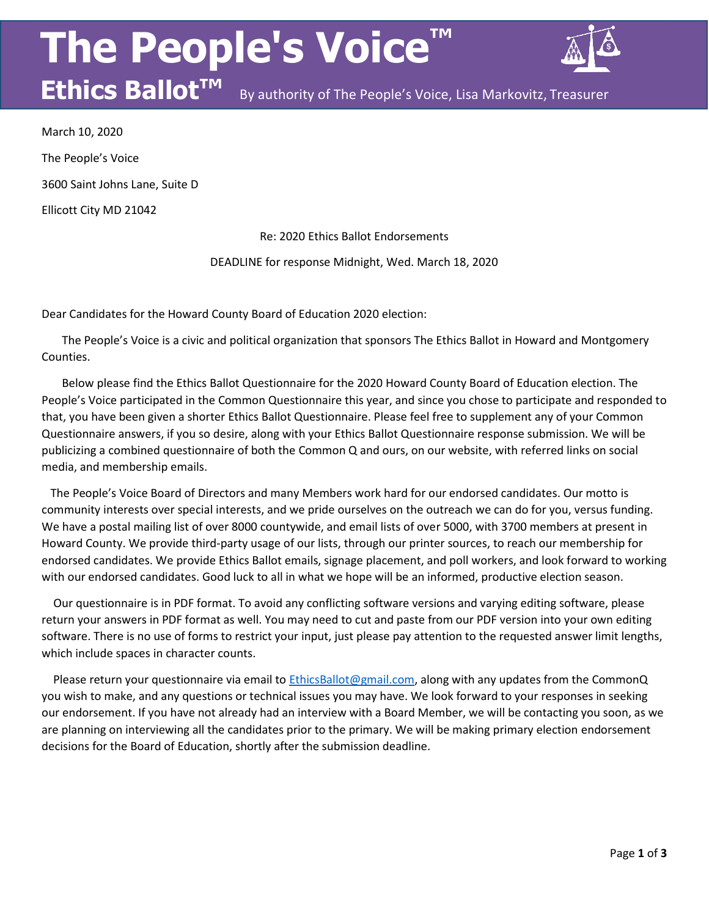# **The People's Voice™**



By authority of The People's Voice, Lisa Markovitz, Treasurer

March 10, 2020 The People's Voice 3600 Saint Johns Lane, Suite D

**Ethics Ballot™**

Ellicott City MD 21042

Re: 2020 Ethics Ballot Endorsements

DEADLINE for response Midnight, Wed. March 18, 2020

Dear Candidates for the Howard County Board of Education 2020 election:

The People's Voice is a civic and political organization that sponsors The Ethics Ballot in Howard and Montgomery Counties.

Below please find the Ethics Ballot Questionnaire for the 2020 Howard County Board of Education election. The People's Voice participated in the Common Questionnaire this year, and since you chose to participate and responded to that, you have been given a shorter Ethics Ballot Questionnaire. Please feel free to supplement any of your Common Questionnaire answers, if you so desire, along with your Ethics Ballot Questionnaire response submission. We will be publicizing a combined questionnaire of both the Common Q and ours, on our website, with referred links on social media, and membership emails.

The People's Voice Board of Directors and many Members work hard for our endorsed candidates. Our motto is community interests over special interests, and we pride ourselves on the outreach we can do for you, versus funding. We have a postal mailing list of over 8000 countywide, and email lists of over 5000, with 3700 members at present in Howard County. We provide third-party usage of our lists, through our printer sources, to reach our membership for endorsed candidates. We provide Ethics Ballot emails, signage placement, and poll workers, and look forward to working with our endorsed candidates. Good luck to all in what we hope will be an informed, productive election season.

Our questionnaire is in PDF format. To avoid any conflicting software versions and varying editing software, please return your answers in PDF format as well. You may need to cut and paste from our PDF version into your own editing software. There is no use of forms to restrict your input, just please pay attention to the requested answer limit lengths, which include spaces in character counts.

Please return your questionnaire via email t[o EthicsBallot@gmail.com, a](mailto:EthicsBallot@gmail.com)long with any updates from the CommonQ you wish to make, and any questions or technical issues you may have. We look forward to your responses in seeking our endorsement. If you have not already had an interview with a Board Member, we will be contacting you soon, as we are planning on interviewing all the candidates prior to the primary. We will be making primary election endorsement decisions for the Board of Education, shortly after the submission deadline.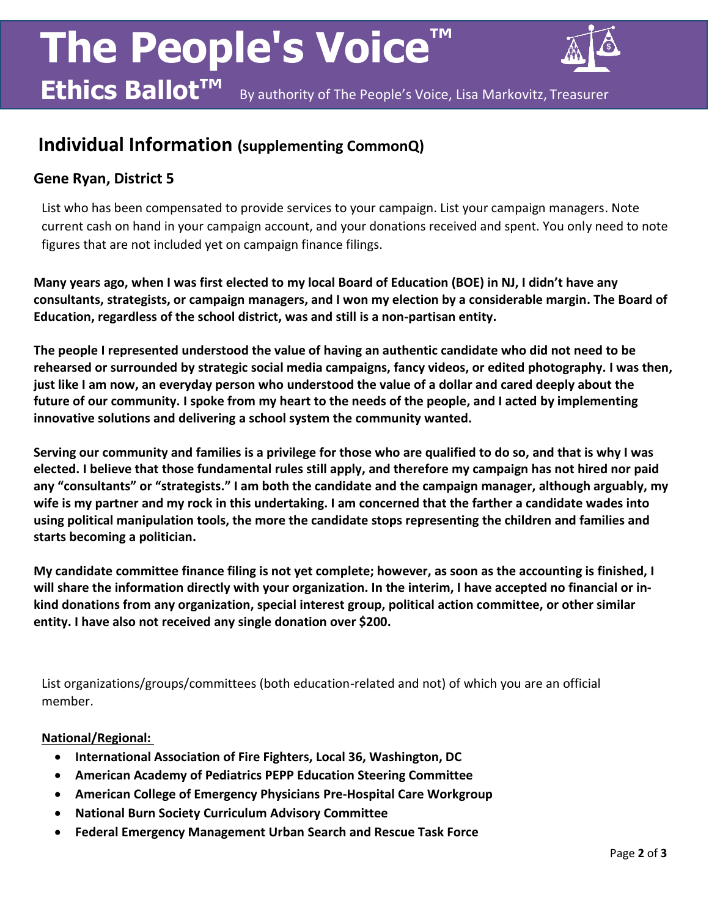# **The People's Voice Ethics Ballot™**



By authority of The People's Voice, Lisa Markovitz, Treasurer

### **Individual Information (supplementing CommonQ)**

### **Gene Ryan, District 5**

List who has been compensated to provide services to your campaign. List your campaign managers. Note current cash on hand in your campaign account, and your donations received and spent. You only need to note figures that are not included yet on campaign finance filings.

**Many years ago, when I was first elected to my local Board of Education (BOE) in NJ, I didn't have any consultants, strategists, or campaign managers, and I won my election by a considerable margin. The Board of Education, regardless of the school district, was and still is a non-partisan entity.**

**The people I represented understood the value of having an authentic candidate who did not need to be rehearsed or surrounded by strategic social media campaigns, fancy videos, or edited photography. I was then, just like I am now, an everyday person who understood the value of a dollar and cared deeply about the future of our community. I spoke from my heart to the needs of the people, and I acted by implementing innovative solutions and delivering a school system the community wanted.** 

**Serving our community and families is a privilege for those who are qualified to do so, and that is why I was elected. I believe that those fundamental rules still apply, and therefore my campaign has not hired nor paid any "consultants" or "strategists." I am both the candidate and the campaign manager, although arguably, my wife is my partner and my rock in this undertaking. I am concerned that the farther a candidate wades into using political manipulation tools, the more the candidate stops representing the children and families and starts becoming a politician.**

**My candidate committee finance filing is not yet complete; however, as soon as the accounting is finished, I will share the information directly with your organization. In the interim, I have accepted no financial or inkind donations from any organization, special interest group, political action committee, or other similar entity. I have also not received any single donation over \$200.** 

List organizations/groups/committees (both education-related and not) of which you are an official member.

#### **National/Regional:**

- **International Association of Fire Fighters, Local 36, Washington, DC**
- **American Academy of Pediatrics PEPP Education Steering Committee**
- **American College of Emergency Physicians Pre-Hospital Care Workgroup**
- **National Burn Society Curriculum Advisory Committee**
- **Federal Emergency Management Urban Search and Rescue Task Force**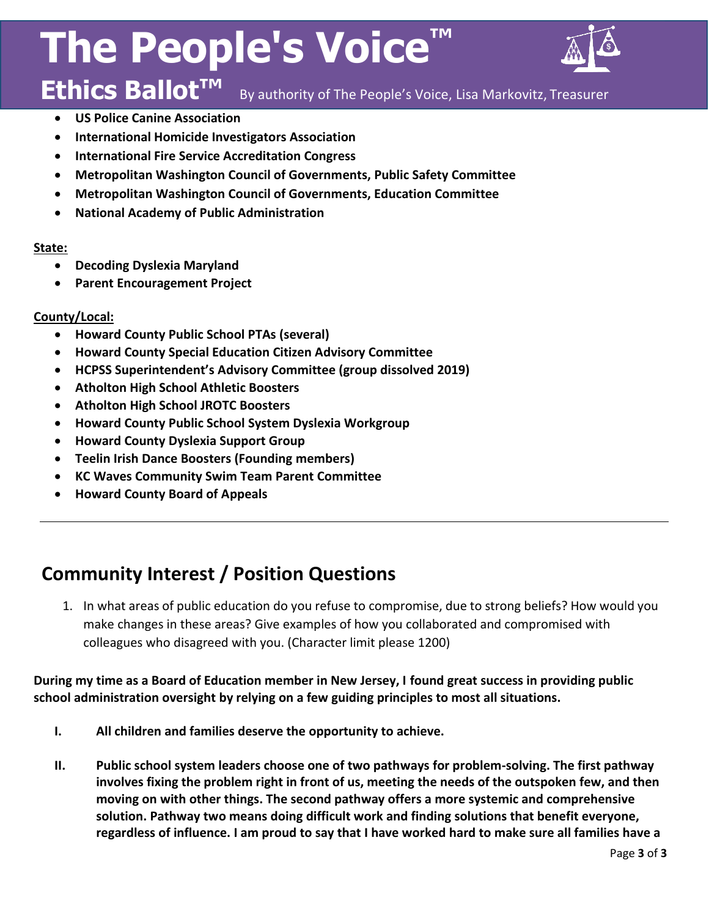# **The People's Voice**



#### **Ethics Ballot™** By authority of The People's Voice, Lisa Markovitz, Treasurer

- **US Police Canine Association**
- **International Homicide Investigators Association**
- **International Fire Service Accreditation Congress**
- **Metropolitan Washington Council of Governments, Public Safety Committee**
- **Metropolitan Washington Council of Governments, Education Committee**
- **National Academy of Public Administration**

#### **State:**

- **Decoding Dyslexia Maryland**
- **Parent Encouragement Project**

#### **County/Local:**

- **Howard County Public School PTAs (several)**
- **Howard County Special Education Citizen Advisory Committee**
- **HCPSS Superintendent's Advisory Committee (group dissolved 2019)**
- **Atholton High School Athletic Boosters**
- **Atholton High School JROTC Boosters**
- **Howard County Public School System Dyslexia Workgroup**
- **Howard County Dyslexia Support Group**
- **Teelin Irish Dance Boosters (Founding members)**
- **KC Waves Community Swim Team Parent Committee**
- **Howard County Board of Appeals**

## **Community Interest / Position Questions**

1. In what areas of public education do you refuse to compromise, due to strong beliefs? How would you make changes in these areas? Give examples of how you collaborated and compromised with colleagues who disagreed with you. (Character limit please 1200)

**During my time as a Board of Education member in New Jersey, I found great success in providing public school administration oversight by relying on a few guiding principles to most all situations.** 

- **I. All children and families deserve the opportunity to achieve.**
- **II. Public school system leaders choose one of two pathways for problem-solving. The first pathway involves fixing the problem right in front of us, meeting the needs of the outspoken few, and then moving on with other things. The second pathway offers a more systemic and comprehensive solution. Pathway two means doing difficult work and finding solutions that benefit everyone, regardless of influence. I am proud to say that I have worked hard to make sure all families have a**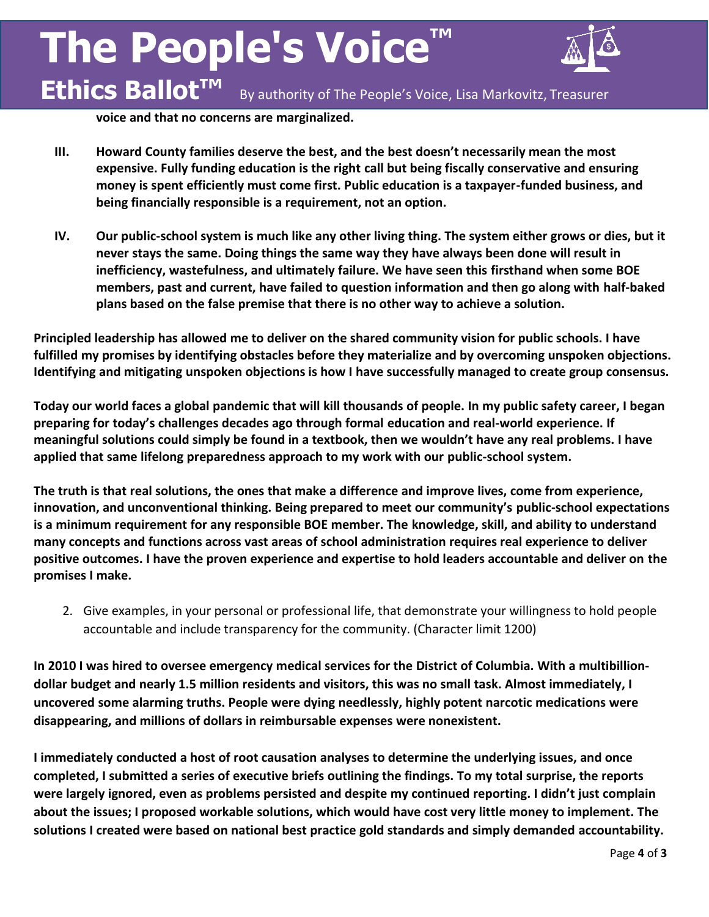# **The People's Voice™ Ethics Ballot™**



By authority of The People's Voice, Lisa Markovitz, Treasurer

**voice and that no concerns are marginalized.**

- **III. Howard County families deserve the best, and the best doesn't necessarily mean the most expensive. Fully funding education is the right call but being fiscally conservative and ensuring money is spent efficiently must come first. Public education is a taxpayer-funded business, and being financially responsible is a requirement, not an option.**
- **IV. Our public-school system is much like any other living thing. The system either grows or dies, but it never stays the same. Doing things the same way they have always been done will result in inefficiency, wastefulness, and ultimately failure. We have seen this firsthand when some BOE members, past and current, have failed to question information and then go along with half-baked plans based on the false premise that there is no other way to achieve a solution.**

**Principled leadership has allowed me to deliver on the shared community vision for public schools. I have fulfilled my promises by identifying obstacles before they materialize and by overcoming unspoken objections. Identifying and mitigating unspoken objections is how I have successfully managed to create group consensus.** 

**Today our world faces a global pandemic that will kill thousands of people. In my public safety career, I began preparing for today's challenges decades ago through formal education and real-world experience. If meaningful solutions could simply be found in a textbook, then we wouldn't have any real problems. I have applied that same lifelong preparedness approach to my work with our public-school system.**

**The truth is that real solutions, the ones that make a difference and improve lives, come from experience, innovation, and unconventional thinking. Being prepared to meet our community's public-school expectations is a minimum requirement for any responsible BOE member. The knowledge, skill, and ability to understand many concepts and functions across vast areas of school administration requires real experience to deliver positive outcomes. I have the proven experience and expertise to hold leaders accountable and deliver on the promises I make.**

2. Give examples, in your personal or professional life, that demonstrate your willingness to hold people accountable and include transparency for the community. (Character limit 1200)

**In 2010 I was hired to oversee emergency medical services for the District of Columbia. With a multibilliondollar budget and nearly 1.5 million residents and visitors, this was no small task. Almost immediately, I uncovered some alarming truths. People were dying needlessly, highly potent narcotic medications were disappearing, and millions of dollars in reimbursable expenses were nonexistent.** 

**I immediately conducted a host of root causation analyses to determine the underlying issues, and once completed, I submitted a series of executive briefs outlining the findings. To my total surprise, the reports were largely ignored, even as problems persisted and despite my continued reporting. I didn't just complain about the issues; I proposed workable solutions, which would have cost very little money to implement. The solutions I created were based on national best practice gold standards and simply demanded accountability.**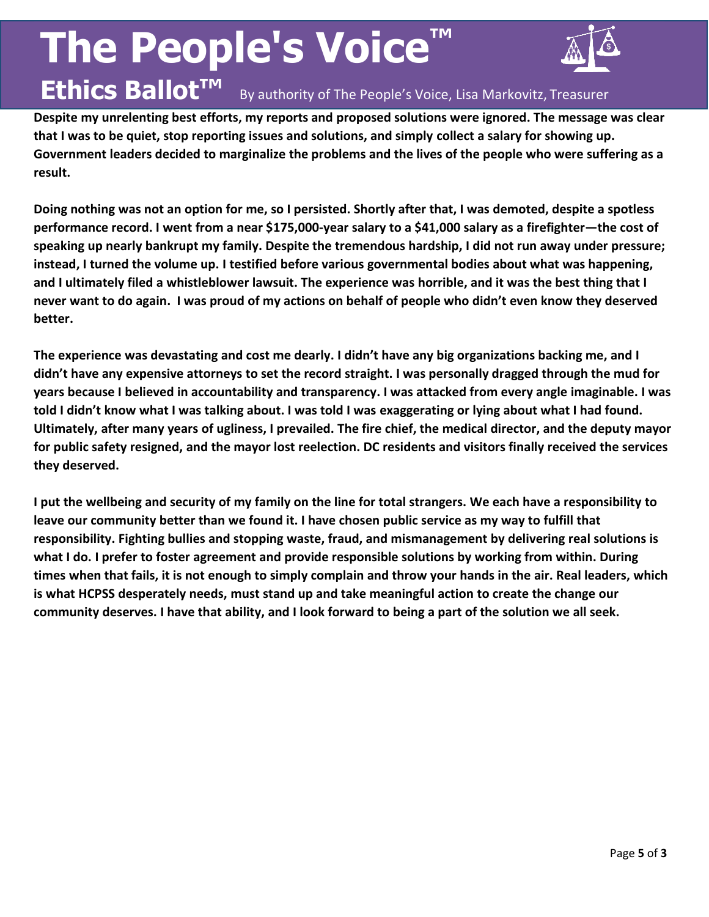# **The People's Voice™**

**Ethics Ballot™**



### By authority of The People's Voice, Lisa Markovitz, Treasurer

**Despite my unrelenting best efforts, my reports and proposed solutions were ignored. The message was clear that I was to be quiet, stop reporting issues and solutions, and simply collect a salary for showing up. Government leaders decided to marginalize the problems and the lives of the people who were suffering as a result.**

**Doing nothing was not an option for me, so I persisted. Shortly after that, I was demoted, despite a spotless performance record. I went from a near \$175,000-year salary to a \$41,000 salary as a firefighter—the cost of speaking up nearly bankrupt my family. Despite the tremendous hardship, I did not run away under pressure; instead, I turned the volume up. I testified before various governmental bodies about what was happening, and I ultimately filed a whistleblower lawsuit. The experience was horrible, and it was the best thing that I never want to do again. I was proud of my actions on behalf of people who didn't even know they deserved better.**

**The experience was devastating and cost me dearly. I didn't have any big organizations backing me, and I didn't have any expensive attorneys to set the record straight. I was personally dragged through the mud for years because I believed in accountability and transparency. I was attacked from every angle imaginable. I was told I didn't know what I was talking about. I was told I was exaggerating or lying about what I had found. Ultimately, after many years of ugliness, I prevailed. The fire chief, the medical director, and the deputy mayor for public safety resigned, and the mayor lost reelection. DC residents and visitors finally received the services they deserved.**

**I put the wellbeing and security of my family on the line for total strangers. We each have a responsibility to leave our community better than we found it. I have chosen public service as my way to fulfill that responsibility. Fighting bullies and stopping waste, fraud, and mismanagement by delivering real solutions is what I do. I prefer to foster agreement and provide responsible solutions by working from within. During times when that fails, it is not enough to simply complain and throw your hands in the air. Real leaders, which is what HCPSS desperately needs, must stand up and take meaningful action to create the change our community deserves. I have that ability, and I look forward to being a part of the solution we all seek.**